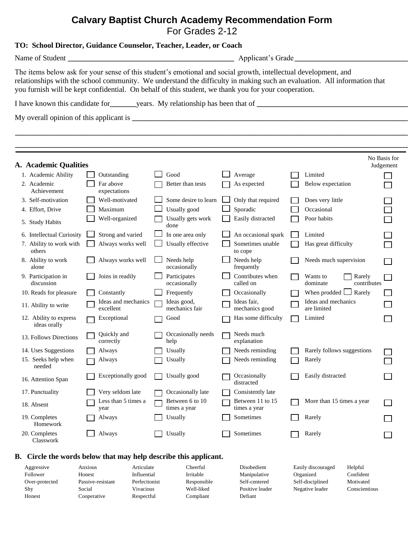## **Calvary Baptist Church Academy Recommendation Form** For Grades 2-12

|                                                                                                                                                                                                                                                                                                                                                     |                                  | TO: School Director, Guidance Counselor, Teacher, Leader, or Coach |                                  |                                                                         |                             |  |  |  |  |  |
|-----------------------------------------------------------------------------------------------------------------------------------------------------------------------------------------------------------------------------------------------------------------------------------------------------------------------------------------------------|----------------------------------|--------------------------------------------------------------------|----------------------------------|-------------------------------------------------------------------------|-----------------------------|--|--|--|--|--|
|                                                                                                                                                                                                                                                                                                                                                     |                                  |                                                                    | Applicant's Grade                |                                                                         |                             |  |  |  |  |  |
| The items below ask for your sense of this student's emotional and social growth, intellectual development, and<br>relationships with the school community. We understand the difficulty in making such an evaluation. All information that<br>you furnish will be kept confidential. On behalf of this student, we thank you for your cooperation. |                                  |                                                                    |                                  |                                                                         |                             |  |  |  |  |  |
|                                                                                                                                                                                                                                                                                                                                                     |                                  |                                                                    |                                  | I have known this candidate for years. My relationship has been that of |                             |  |  |  |  |  |
|                                                                                                                                                                                                                                                                                                                                                     |                                  |                                                                    |                                  |                                                                         |                             |  |  |  |  |  |
|                                                                                                                                                                                                                                                                                                                                                     |                                  |                                                                    |                                  |                                                                         |                             |  |  |  |  |  |
|                                                                                                                                                                                                                                                                                                                                                     |                                  |                                                                    |                                  |                                                                         |                             |  |  |  |  |  |
|                                                                                                                                                                                                                                                                                                                                                     |                                  |                                                                    |                                  |                                                                         | No Basis for                |  |  |  |  |  |
| A. Academic Qualities                                                                                                                                                                                                                                                                                                                               |                                  |                                                                    |                                  |                                                                         | Judgement                   |  |  |  |  |  |
| 1. Academic Ability                                                                                                                                                                                                                                                                                                                                 | Outstanding                      | Good                                                               | Average                          | Limited                                                                 |                             |  |  |  |  |  |
| 2. Academic<br>Achievement                                                                                                                                                                                                                                                                                                                          | Far above<br>expectations        | Better than tests                                                  | As expected                      | Below expectation                                                       |                             |  |  |  |  |  |
| 3. Self-motivation                                                                                                                                                                                                                                                                                                                                  | Well-motivated                   | Some desire to learn                                               | Only that required               | Does very little                                                        |                             |  |  |  |  |  |
| 4. Effort, Drive                                                                                                                                                                                                                                                                                                                                    | Maximum                          | Usually good                                                       | Sporadic                         | Occasional                                                              |                             |  |  |  |  |  |
| 5. Study Habits                                                                                                                                                                                                                                                                                                                                     | Well-organized                   | Usually gets work<br>done                                          | Easily distracted                | Poor habits                                                             |                             |  |  |  |  |  |
| 6. Intellectual Curiosity                                                                                                                                                                                                                                                                                                                           | Strong and varied                | In one area only                                                   | An occasional spark              | Limited                                                                 |                             |  |  |  |  |  |
| 7. Ability to work with<br>others                                                                                                                                                                                                                                                                                                                   | Always works well                | Usually effective                                                  | Sometimes unable<br>to cope      | Has great difficulty                                                    |                             |  |  |  |  |  |
| 8. Ability to work<br>alone                                                                                                                                                                                                                                                                                                                         | Always works well                | Needs help<br>occasionally                                         | Needs help<br>frequently         | Needs much supervision                                                  | <b>Contract</b>             |  |  |  |  |  |
| 9. Participation in<br>discussion                                                                                                                                                                                                                                                                                                                   | Joins in readily                 | Participates<br>occasionally                                       | Contributes when<br>called on    | Wants to<br>dominate                                                    | Rarely<br>contributes       |  |  |  |  |  |
| 10. Reads for pleasure                                                                                                                                                                                                                                                                                                                              | Constantly                       | Frequently                                                         | Occasionally                     | When prodded $\Box$ Rarely                                              |                             |  |  |  |  |  |
| 11. Ability to write                                                                                                                                                                                                                                                                                                                                | Ideas and mechanics<br>excellent | Ideas good,<br>mechanics fair                                      | Ideas fair,<br>mechanics good    | Ideas and mechanics<br>are limited                                      |                             |  |  |  |  |  |
| 12. Ability to express<br>ideas orally                                                                                                                                                                                                                                                                                                              | Exceptional                      | Good                                                               | Has some difficulty              | Limited                                                                 |                             |  |  |  |  |  |
| 13. Follows Directions                                                                                                                                                                                                                                                                                                                              | Quickly and<br>correctly         | Occasionally needs<br>help                                         | Needs much<br>explanation        |                                                                         |                             |  |  |  |  |  |
| 14. Uses Suggestions                                                                                                                                                                                                                                                                                                                                | Always                           | Usually                                                            | Needs reminding                  | Rarely follows suggestions                                              |                             |  |  |  |  |  |
| 15. Seeks help when<br>needed                                                                                                                                                                                                                                                                                                                       | Always                           | Usually                                                            | Needs reminding                  | Rarely                                                                  |                             |  |  |  |  |  |
| 16. Attention Span                                                                                                                                                                                                                                                                                                                                  | Exceptionally good               | Usually good                                                       | Occasionally<br>distracted       | Easily distracted                                                       |                             |  |  |  |  |  |
| 17. Punctuality                                                                                                                                                                                                                                                                                                                                     | Very seldom late                 | Occasionally late                                                  | Consistently late                |                                                                         |                             |  |  |  |  |  |
| 18. Absent                                                                                                                                                                                                                                                                                                                                          | Less than 5 times a<br>year      | Between 6 to 10<br>times a year                                    | Between 11 to 15<br>times a year | More than 15 times a year                                               |                             |  |  |  |  |  |
| 19. Completes<br>Homework                                                                                                                                                                                                                                                                                                                           | Always                           | Usually                                                            | Sometimes                        | Rarely                                                                  |                             |  |  |  |  |  |
| 20. Completes<br>Classwork                                                                                                                                                                                                                                                                                                                          | Always                           | Usually                                                            | Sometimes                        | Rarely                                                                  | $\mathcal{L}_{\mathcal{A}}$ |  |  |  |  |  |

## **B. Circle the words below that may help describe this applicant.**

| Aggressive     | Anxious           | Articulate    | Cheerful    | Disobedient     | Easily discouraged | Helpful       |
|----------------|-------------------|---------------|-------------|-----------------|--------------------|---------------|
| Follower       | Honest            | Influential   | Irritable   | Manipulative    | Organized          | Confident     |
| Over-protected | Passive-resistant | Perfectionist | Responsible | Self-centered   | Self-disciplined   | Motivated     |
| Shy            | Social            | Vivacious     | Well-liked  | Positive leader | Negative leader    | Conscientious |
| Honest         | Cooperative       | Respectful    | Compliant   | Defiant         |                    |               |